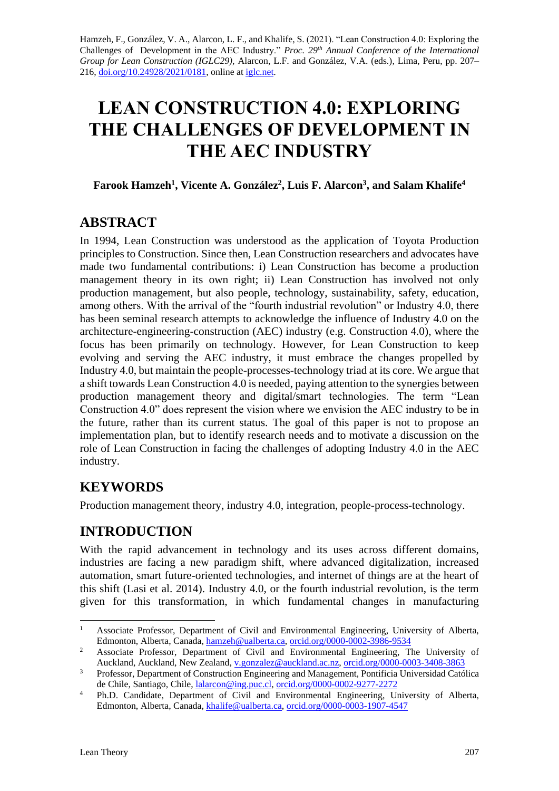Hamzeh, F., González, V. A., Alarcon, L. F., and Khalife, S. (2021). "Lean Construction 4.0: Exploring the Challenges of Development in the AEC Industry." *Proc. 29th Annual Conference of the International Group for Lean Construction (IGLC29),* Alarcon, L.F. and González, V.A. (eds.)*,* Lima, Peru, pp. 207– 216, [doi.org/10.24928/2021/0181,](https://doi.org/10.24928/2021/0181) online a[t iglc.net.](http://iglc.net/)

# **LEAN CONSTRUCTION 4.0: EXPLORING THE CHALLENGES OF DEVELOPMENT IN THE AEC INDUSTRY**

**Farook Hamzeh<sup>1</sup> , Vicente A. González<sup>2</sup> , Luis F. Alarcon<sup>3</sup> , and Salam Khalife<sup>4</sup>**

#### **ABSTRACT**

In 1994, Lean Construction was understood as the application of Toyota Production principles to Construction. Since then, Lean Construction researchers and advocates have made two fundamental contributions: i) Lean Construction has become a production management theory in its own right; ii) Lean Construction has involved not only production management, but also people, technology, sustainability, safety, education, among others. With the arrival of the "fourth industrial revolution" or Industry 4.0, there has been seminal research attempts to acknowledge the influence of Industry 4.0 on the architecture-engineering-construction (AEC) industry (e.g. Construction 4.0), where the focus has been primarily on technology. However, for Lean Construction to keep evolving and serving the AEC industry, it must embrace the changes propelled by Industry 4.0, but maintain the people-processes-technology triad at its core. We argue that a shift towards Lean Construction 4.0 is needed, paying attention to the synergies between production management theory and digital/smart technologies. The term "Lean Construction 4.0" does represent the vision where we envision the AEC industry to be in the future, rather than its current status. The goal of this paper is not to propose an implementation plan, but to identify research needs and to motivate a discussion on the role of Lean Construction in facing the challenges of adopting Industry 4.0 in the AEC industry.

## **KEYWORDS**

Production management theory, industry 4.0, integration, people-process-technology.

## **INTRODUCTION**

With the rapid advancement in technology and its uses across different domains, industries are facing a new paradigm shift, where advanced digitalization, increased automation, smart future-oriented technologies, and internet of things are at the heart of this shift (Lasi et al. 2014). Industry 4.0, or the fourth industrial revolution, is the term given for this transformation, in which fundamental changes in manufacturing

<sup>&</sup>lt;sup>1</sup> Associate Professor, Department of Civil and Environmental Engineering, University of Alberta, Edmonton, Alberta, Canada, [hamzeh@ualberta.ca,](mailto:hamzeh@ualberta.ca) [orcid.org/0000-0002-3986-9534](https://orcid.org/0000-0002-3986-9534)

<sup>&</sup>lt;sup>2</sup> Associate Professor, Department of Civil and Environmental Engineering, The University of Auckland, Auckland, New Zealand[, v.gonzalez@auckland.ac.nz,](mailto:v.gonzalez@auckland.ac.nz) [orcid.org/0000-0003-3408-3863](https://orcid.org/0000-0003-3408-3863)

<sup>&</sup>lt;sup>3</sup> Professor, Department of Construction Engineering and Management, Pontificia Universidad Católica de Chile, Santiago, Chile, [lalarcon@ing.puc.cl,](mailto:lalarcon@ing.puc.cl) [orcid.org/0000-0002-9277-2272](https://orcid.org/0000-0002-9277-2272)

<sup>&</sup>lt;sup>4</sup> Ph.D. Candidate, Department of Civil and Environmental Engineering, University of Alberta, Edmonton, Alberta, Canada[, khalife@ualberta.ca,](mailto:khalife@ualberta.ca) [orcid.org/0000-0003-1907-4547](https://orcid.org/0000-0003-1907-4547)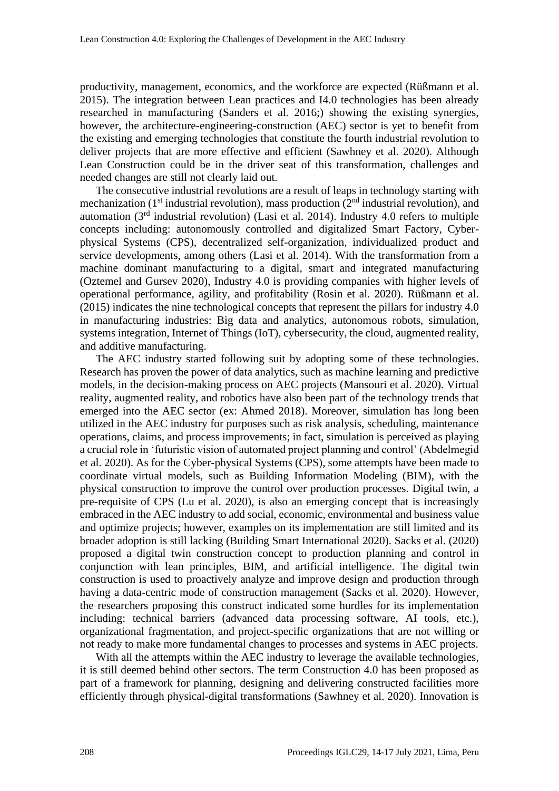productivity, management, economics, and the workforce are expected (Rüßmann et al. 2015). The integration between Lean practices and I4.0 technologies has been already researched in manufacturing (Sanders et al. 2016;) showing the existing synergies, however, the architecture-engineering-construction (AEC) sector is yet to benefit from the existing and emerging technologies that constitute the fourth industrial revolution to deliver projects that are more effective and efficient (Sawhney et al. 2020). Although Lean Construction could be in the driver seat of this transformation, challenges and needed changes are still not clearly laid out.

The consecutive industrial revolutions are a result of leaps in technology starting with mechanization (1<sup>st</sup> industrial revolution), mass production ( $2<sup>nd</sup>$  industrial revolution), and automation ( $3<sup>rd</sup>$  industrial revolution) (Lasi et al. 2014). Industry 4.0 refers to multiple concepts including: autonomously controlled and digitalized Smart Factory, Cyberphysical Systems (CPS), decentralized self-organization, individualized product and service developments, among others (Lasi et al. 2014). With the transformation from a machine dominant manufacturing to a digital, smart and integrated manufacturing (Oztemel and Gursev 2020), Industry 4.0 is providing companies with higher levels of operational performance, agility, and profitability (Rosin et al. 2020). Rüßmann et al. (2015) indicates the nine technological concepts that represent the pillars for industry 4.0 in manufacturing industries: Big data and analytics, autonomous robots, simulation, systems integration, Internet of Things (IoT), cybersecurity, the cloud, augmented reality, and additive manufacturing.

The AEC industry started following suit by adopting some of these technologies. Research has proven the power of data analytics, such as machine learning and predictive models, in the decision-making process on AEC projects (Mansouri et al. 2020). Virtual reality, augmented reality, and robotics have also been part of the technology trends that emerged into the AEC sector (ex: Ahmed 2018). Moreover, simulation has long been utilized in the AEC industry for purposes such as risk analysis, scheduling, maintenance operations, claims, and process improvements; in fact, simulation is perceived as playing a crucial role in 'futuristic vision of automated project planning and control' (Abdelmegid et al. 2020). As for the Cyber-physical Systems (CPS), some attempts have been made to coordinate virtual models, such as Building Information Modeling (BIM), with the physical construction to improve the control over production processes. Digital twin, a pre-requisite of CPS (Lu et al. 2020), is also an emerging concept that is increasingly embraced in the AEC industry to add social, economic, environmental and business value and optimize projects; however, examples on its implementation are still limited and its broader adoption is still lacking (Building Smart International 2020). Sacks et al. (2020) proposed a digital twin construction concept to production planning and control in conjunction with lean principles, BIM, and artificial intelligence. The digital twin construction is used to proactively analyze and improve design and production through having a data-centric mode of construction management (Sacks et al. 2020). However, the researchers proposing this construct indicated some hurdles for its implementation including: technical barriers (advanced data processing software, AI tools, etc.), organizational fragmentation, and project-specific organizations that are not willing or not ready to make more fundamental changes to processes and systems in AEC projects.

With all the attempts within the AEC industry to leverage the available technologies, it is still deemed behind other sectors. The term Construction 4.0 has been proposed as part of a framework for planning, designing and delivering constructed facilities more efficiently through physical-digital transformations (Sawhney et al. 2020). Innovation is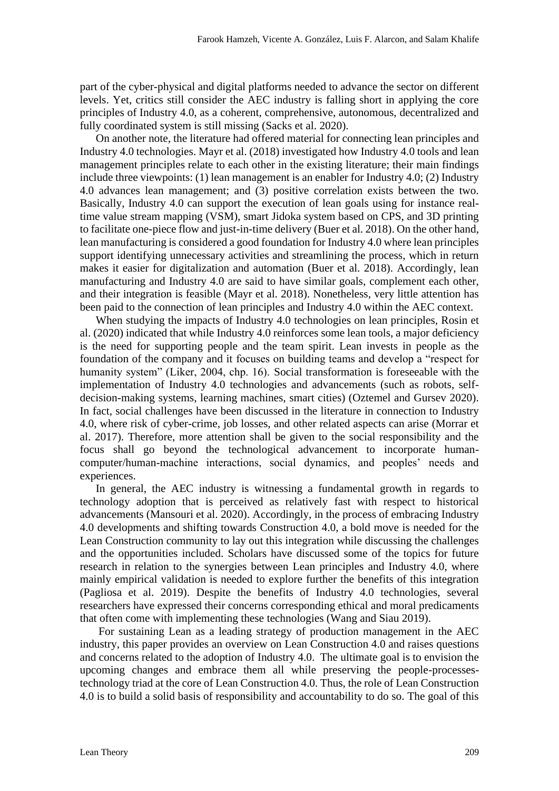part of the cyber-physical and digital platforms needed to advance the sector on different levels. Yet, critics still consider the AEC industry is falling short in applying the core principles of Industry 4.0, as a coherent, comprehensive, autonomous, decentralized and fully coordinated system is still missing (Sacks et al. 2020).

On another note, the literature had offered material for connecting lean principles and Industry 4.0 technologies. Mayr et al. (2018) investigated how Industry 4.0 tools and lean management principles relate to each other in the existing literature; their main findings include three viewpoints: (1) lean management is an enabler for Industry 4.0; (2) Industry 4.0 advances lean management; and (3) positive correlation exists between the two. Basically, Industry 4.0 can support the execution of lean goals using for instance realtime value stream mapping (VSM), smart Jidoka system based on CPS, and 3D printing to facilitate one-piece flow and just-in-time delivery (Buer et al. 2018). On the other hand, lean manufacturing is considered a good foundation for Industry 4.0 where lean principles support identifying unnecessary activities and streamlining the process, which in return makes it easier for digitalization and automation (Buer et al. 2018). Accordingly, lean manufacturing and Industry 4.0 are said to have similar goals, complement each other, and their integration is feasible (Mayr et al. 2018). Nonetheless, very little attention has been paid to the connection of lean principles and Industry 4.0 within the AEC context.

When studying the impacts of Industry 4.0 technologies on lean principles, Rosin et al. (2020) indicated that while Industry 4.0 reinforces some lean tools, a major deficiency is the need for supporting people and the team spirit. Lean invests in people as the foundation of the company and it focuses on building teams and develop a "respect for humanity system" (Liker, 2004, chp. 16). Social transformation is foreseeable with the implementation of Industry 4.0 technologies and advancements (such as robots, selfdecision-making systems, learning machines, smart cities) (Oztemel and Gursev 2020). In fact, social challenges have been discussed in the literature in connection to Industry 4.0, where risk of cyber-crime, job losses, and other related aspects can arise (Morrar et al. 2017). Therefore, more attention shall be given to the social responsibility and the focus shall go beyond the technological advancement to incorporate humancomputer/human-machine interactions, social dynamics, and peoples' needs and experiences.

In general, the AEC industry is witnessing a fundamental growth in regards to technology adoption that is perceived as relatively fast with respect to historical advancements (Mansouri et al. 2020). Accordingly, in the process of embracing Industry 4.0 developments and shifting towards Construction 4.0, a bold move is needed for the Lean Construction community to lay out this integration while discussing the challenges and the opportunities included. Scholars have discussed some of the topics for future research in relation to the synergies between Lean principles and Industry 4.0, where mainly empirical validation is needed to explore further the benefits of this integration (Pagliosa et al. 2019). Despite the benefits of Industry 4.0 technologies, several researchers have expressed their concerns corresponding ethical and moral predicaments that often come with implementing these technologies (Wang and Siau 2019).

For sustaining Lean as a leading strategy of production management in the AEC industry, this paper provides an overview on Lean Construction 4.0 and raises questions and concerns related to the adoption of Industry 4.0. The ultimate goal is to envision the upcoming changes and embrace them all while preserving the people-processestechnology triad at the core of Lean Construction 4.0. Thus, the role of Lean Construction 4.0 is to build a solid basis of responsibility and accountability to do so. The goal of this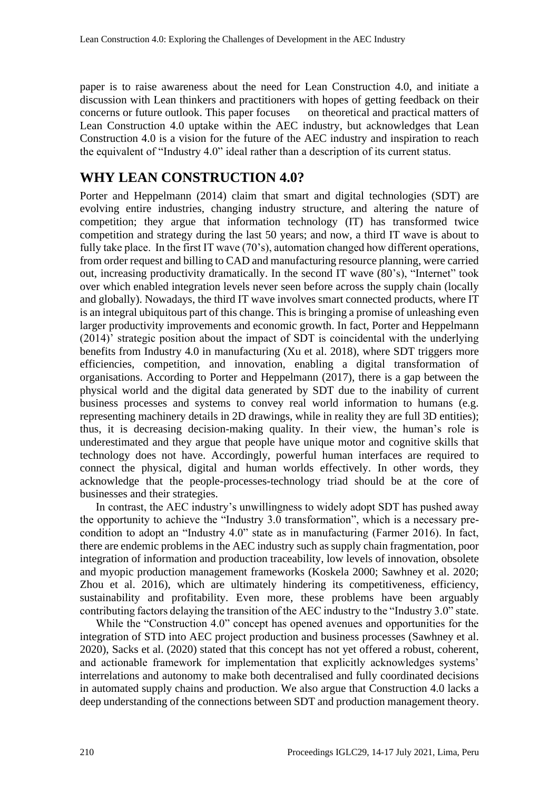paper is to raise awareness about the need for Lean Construction 4.0, and initiate a discussion with Lean thinkers and practitioners with hopes of getting feedback on their concerns or future outlook. This paper focuses on theoretical and practical matters of Lean Construction 4.0 uptake within the AEC industry, but acknowledges that Lean Construction 4.0 is a vision for the future of the AEC industry and inspiration to reach the equivalent of "Industry 4.0" ideal rather than a description of its current status.

#### **WHY LEAN CONSTRUCTION 4.0?**

Porter and Heppelmann (2014) claim that smart and digital technologies (SDT) are evolving entire industries, changing industry structure, and altering the nature of competition; they argue that information technology (IT) has transformed twice competition and strategy during the last 50 years; and now, a third IT wave is about to fully take place. In the first IT wave (70's), automation changed how different operations, from order request and billing to CAD and manufacturing resource planning, were carried out, increasing productivity dramatically. In the second IT wave (80's), "Internet" took over which enabled integration levels never seen before across the supply chain (locally and globally). Nowadays, the third IT wave involves smart connected products, where IT is an integral ubiquitous part of this change. This is bringing a promise of unleashing even larger productivity improvements and economic growth. In fact, Porter and Heppelmann (2014)' strategic position about the impact of SDT is coincidental with the underlying benefits from Industry 4.0 in manufacturing (Xu et al. 2018), where SDT triggers more efficiencies, competition, and innovation, enabling a digital transformation of organisations. According to Porter and Heppelmann (2017), there is a gap between the physical world and the digital data generated by SDT due to the inability of current business processes and systems to convey real world information to humans (e.g. representing machinery details in 2D drawings, while in reality they are full 3D entities); thus, it is decreasing decision-making quality. In their view, the human's role is underestimated and they argue that people have unique motor and cognitive skills that technology does not have. Accordingly, powerful human interfaces are required to connect the physical, digital and human worlds effectively. In other words, they acknowledge that the people-processes-technology triad should be at the core of businesses and their strategies.

In contrast, the AEC industry's unwillingness to widely adopt SDT has pushed away the opportunity to achieve the "Industry 3.0 transformation", which is a necessary precondition to adopt an "Industry 4.0" state as in manufacturing (Farmer 2016). In fact, there are endemic problems in the AEC industry such as supply chain fragmentation, poor integration of information and production traceability, low levels of innovation, obsolete and myopic production management frameworks (Koskela 2000; Sawhney et al. 2020; Zhou et al. 2016), which are ultimately hindering its competitiveness, efficiency, sustainability and profitability. Even more, these problems have been arguably contributing factors delaying the transition of the AEC industry to the "Industry 3.0" state.

While the "Construction 4.0" concept has opened avenues and opportunities for the integration of STD into AEC project production and business processes (Sawhney et al. 2020), Sacks et al. (2020) stated that this concept has not yet offered a robust, coherent, and actionable framework for implementation that explicitly acknowledges systems' interrelations and autonomy to make both decentralised and fully coordinated decisions in automated supply chains and production. We also argue that Construction 4.0 lacks a deep understanding of the connections between SDT and production management theory.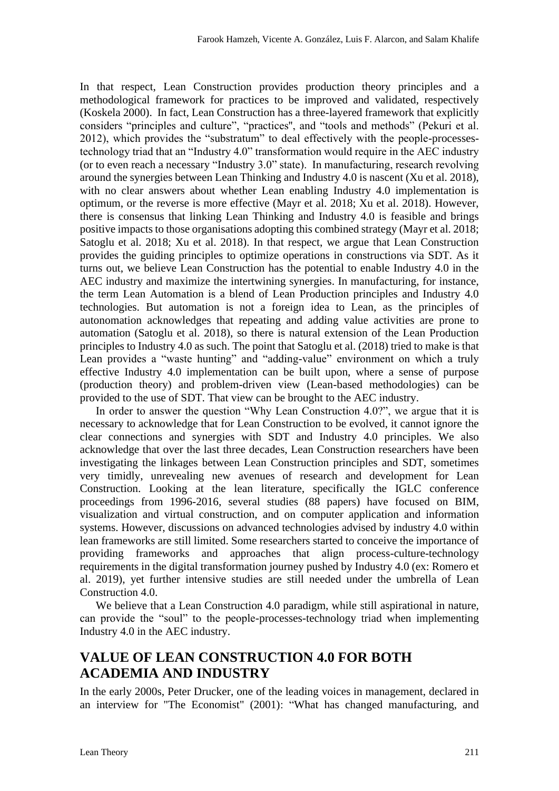In that respect, Lean Construction provides production theory principles and a methodological framework for practices to be improved and validated, respectively (Koskela 2000). In fact, Lean Construction has a three-layered framework that explicitly considers "principles and culture", "practices'', and "tools and methods" (Pekuri et al. 2012), which provides the "substratum" to deal effectively with the people-processestechnology triad that an "Industry 4.0" transformation would require in the AEC industry (or to even reach a necessary "Industry 3.0" state). In manufacturing, research revolving around the synergies between Lean Thinking and Industry 4.0 is nascent (Xu et al. 2018), with no clear answers about whether Lean enabling Industry 4.0 implementation is optimum, or the reverse is more effective (Mayr et al. 2018; Xu et al. 2018). However, there is consensus that linking Lean Thinking and Industry 4.0 is feasible and brings positive impacts to those organisations adopting this combined strategy (Mayr et al. 2018; Satoglu et al. 2018; Xu et al. 2018). In that respect, we argue that Lean Construction provides the guiding principles to optimize operations in constructions via SDT. As it turns out, we believe Lean Construction has the potential to enable Industry 4.0 in the AEC industry and maximize the intertwining synergies. In manufacturing, for instance, the term Lean Automation is a blend of Lean Production principles and Industry 4.0 technologies. But automation is not a foreign idea to Lean, as the principles of autonomation acknowledges that repeating and adding value activities are prone to automation (Satoglu et al. 2018), so there is natural extension of the Lean Production principles to Industry 4.0 as such. The point that Satoglu et al. (2018) tried to make is that Lean provides a "waste hunting" and "adding-value" environment on which a truly effective Industry 4.0 implementation can be built upon, where a sense of purpose (production theory) and problem-driven view (Lean-based methodologies) can be provided to the use of SDT. That view can be brought to the AEC industry.

In order to answer the question "Why Lean Construction 4.0?", we argue that it is necessary to acknowledge that for Lean Construction to be evolved, it cannot ignore the clear connections and synergies with SDT and Industry 4.0 principles. We also acknowledge that over the last three decades, Lean Construction researchers have been investigating the linkages between Lean Construction principles and SDT, sometimes very timidly, unrevealing new avenues of research and development for Lean Construction. Looking at the lean literature, specifically the IGLC conference proceedings from 1996-2016, several studies (88 papers) have focused on BIM, visualization and virtual construction, and on computer application and information systems. However, discussions on advanced technologies advised by industry 4.0 within lean frameworks are still limited. Some researchers started to conceive the importance of providing frameworks and approaches that align process-culture-technology requirements in the digital transformation journey pushed by Industry 4.0 (ex: Romero et al. 2019), yet further intensive studies are still needed under the umbrella of Lean Construction 4.0.

We believe that a Lean Construction 4.0 paradigm, while still aspirational in nature, can provide the "soul" to the people-processes-technology triad when implementing Industry 4.0 in the AEC industry.

## **VALUE OF LEAN CONSTRUCTION 4.0 FOR BOTH ACADEMIA AND INDUSTRY**

In the early 2000s, Peter Drucker, one of the leading voices in management, declared in an interview for "The Economist" (2001): "What has changed manufacturing, and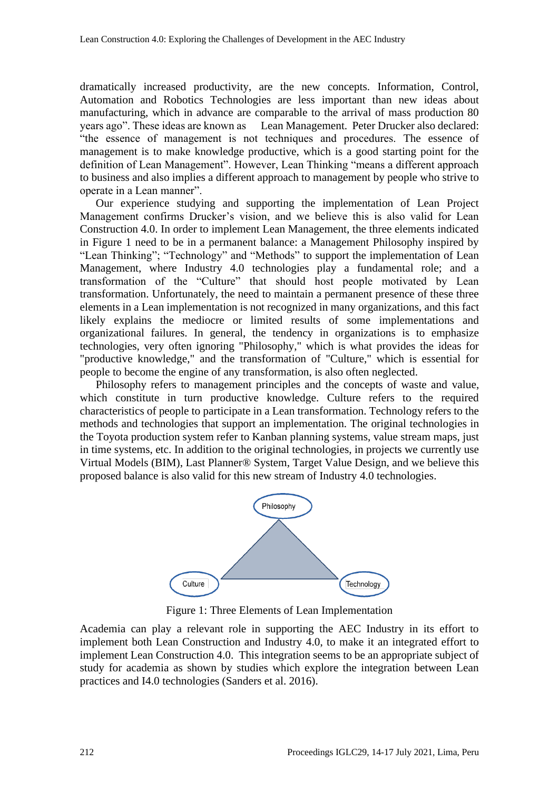dramatically increased productivity, are the new concepts. Information, Control, Automation and Robotics Technologies are less important than new ideas about manufacturing, which in advance are comparable to the arrival of mass production 80 years ago". These ideas are known as Lean Management. Peter Drucker also declared: "the essence of management is not techniques and procedures. The essence of management is to make knowledge productive, which is a good starting point for the definition of Lean Management". However, Lean Thinking "means a different approach to business and also implies a different approach to management by people who strive to operate in a Lean manner".

Our experience studying and supporting the implementation of Lean Project Management confirms Drucker's vision, and we believe this is also valid for Lean Construction 4.0. In order to implement Lean Management, the three elements indicated in Figure 1 need to be in a permanent balance: a Management Philosophy inspired by "Lean Thinking"; "Technology" and "Methods" to support the implementation of Lean Management, where Industry 4.0 technologies play a fundamental role; and a transformation of the "Culture" that should host people motivated by Lean transformation. Unfortunately, the need to maintain a permanent presence of these three elements in a Lean implementation is not recognized in many organizations, and this fact likely explains the mediocre or limited results of some implementations and organizational failures. In general, the tendency in organizations is to emphasize technologies, very often ignoring "Philosophy," which is what provides the ideas for "productive knowledge," and the transformation of "Culture," which is essential for people to become the engine of any transformation, is also often neglected.

Philosophy refers to management principles and the concepts of waste and value, which constitute in turn productive knowledge. Culture refers to the required characteristics of people to participate in a Lean transformation. Technology refers to the methods and technologies that support an implementation. The original technologies in the Toyota production system refer to Kanban planning systems, value stream maps, just in time systems, etc. In addition to the original technologies, in projects we currently use Virtual Models (BIM), Last Planner® System, Target Value Design, and we believe this proposed balance is also valid for this new stream of Industry 4.0 technologies.



Figure 1: Three Elements of Lean Implementation

Academia can play a relevant role in supporting the AEC Industry in its effort to implement both Lean Construction and Industry 4.0, to make it an integrated effort to implement Lean Construction 4.0. This integration seems to be an appropriate subject of study for academia as shown by studies which explore the integration between Lean practices and I4.0 technologies (Sanders et al. 2016).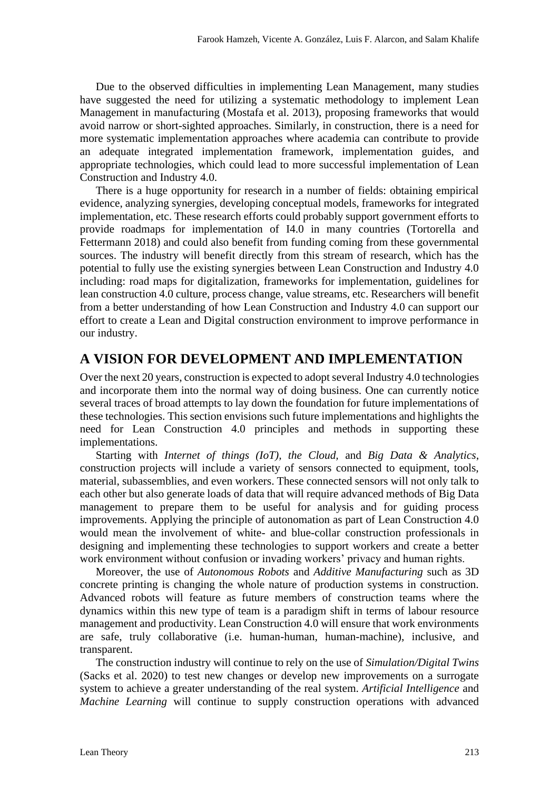Due to the observed difficulties in implementing Lean Management, many studies have suggested the need for utilizing a systematic methodology to implement Lean Management in manufacturing (Mostafa et al. 2013), proposing frameworks that would avoid narrow or short-sighted approaches. Similarly, in construction, there is a need for more systematic implementation approaches where academia can contribute to provide an adequate integrated implementation framework, implementation guides, and appropriate technologies, which could lead to more successful implementation of Lean Construction and Industry 4.0.

There is a huge opportunity for research in a number of fields: obtaining empirical evidence, analyzing synergies, developing conceptual models, frameworks for integrated implementation, etc. These research efforts could probably support government efforts to provide roadmaps for implementation of I4.0 in many countries (Tortorella and Fettermann 2018) and could also benefit from funding coming from these governmental sources. The industry will benefit directly from this stream of research, which has the potential to fully use the existing synergies between Lean Construction and Industry 4.0 including: road maps for digitalization, frameworks for implementation, guidelines for lean construction 4.0 culture, process change, value streams, etc. Researchers will benefit from a better understanding of how Lean Construction and Industry 4.0 can support our effort to create a Lean and Digital construction environment to improve performance in our industry.

## **A VISION FOR DEVELOPMENT AND IMPLEMENTATION**

Over the next 20 years, construction is expected to adopt several Industry 4.0 technologies and incorporate them into the normal way of doing business. One can currently notice several traces of broad attempts to lay down the foundation for future implementations of these technologies. This section envisions such future implementations and highlights the need for Lean Construction 4.0 principles and methods in supporting these implementations.

Starting with *Internet of things (IoT), the Cloud,* and *Big Data & Analytics*, construction projects will include a variety of sensors connected to equipment, tools, material, subassemblies, and even workers. These connected sensors will not only talk to each other but also generate loads of data that will require advanced methods of Big Data management to prepare them to be useful for analysis and for guiding process improvements. Applying the principle of autonomation as part of Lean Construction 4.0 would mean the involvement of white- and blue-collar construction professionals in designing and implementing these technologies to support workers and create a better work environment without confusion or invading workers' privacy and human rights.

Moreover, the use of *Autonomous Robots* and *Additive Manufacturing* such as 3D concrete printing is changing the whole nature of production systems in construction. Advanced robots will feature as future members of construction teams where the dynamics within this new type of team is a paradigm shift in terms of labour resource management and productivity. Lean Construction 4.0 will ensure that work environments are safe, truly collaborative (i.e. human-human, human-machine), inclusive, and transparent.

The construction industry will continue to rely on the use of *Simulation/Digital Twins* (Sacks et al. 2020) to test new changes or develop new improvements on a surrogate system to achieve a greater understanding of the real system. *Artificial Intelligence* and *Machine Learning* will continue to supply construction operations with advanced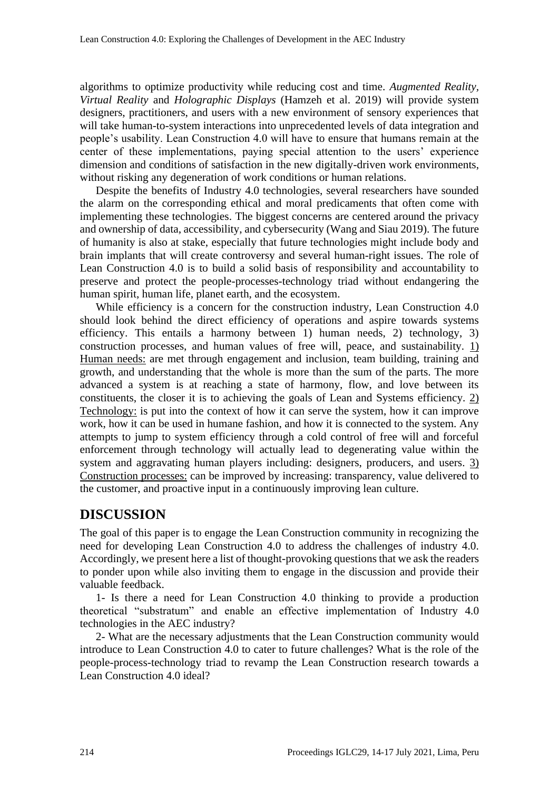algorithms to optimize productivity while reducing cost and time. *Augmented Reality, Virtual Reality* and *Holographic Displays* (Hamzeh et al. 2019) will provide system designers, practitioners, and users with a new environment of sensory experiences that will take human-to-system interactions into unprecedented levels of data integration and people's usability. Lean Construction 4.0 will have to ensure that humans remain at the center of these implementations, paying special attention to the users' experience dimension and conditions of satisfaction in the new digitally-driven work environments, without risking any degeneration of work conditions or human relations.

Despite the benefits of Industry 4.0 technologies, several researchers have sounded the alarm on the corresponding ethical and moral predicaments that often come with implementing these technologies. The biggest concerns are centered around the privacy and ownership of data, accessibility, and cybersecurity (Wang and Siau 2019). The future of humanity is also at stake, especially that future technologies might include body and brain implants that will create controversy and several human-right issues. The role of Lean Construction 4.0 is to build a solid basis of responsibility and accountability to preserve and protect the people-processes-technology triad without endangering the human spirit, human life, planet earth, and the ecosystem.

While efficiency is a concern for the construction industry, Lean Construction 4.0 should look behind the direct efficiency of operations and aspire towards systems efficiency. This entails a harmony between 1) human needs, 2) technology, 3) construction processes, and human values of free will, peace, and sustainability. 1) Human needs: are met through engagement and inclusion, team building, training and growth, and understanding that the whole is more than the sum of the parts. The more advanced a system is at reaching a state of harmony, flow, and love between its constituents, the closer it is to achieving the goals of Lean and Systems efficiency. 2) Technology: is put into the context of how it can serve the system, how it can improve work, how it can be used in humane fashion, and how it is connected to the system. Any attempts to jump to system efficiency through a cold control of free will and forceful enforcement through technology will actually lead to degenerating value within the system and aggravating human players including: designers, producers, and users. 3) Construction processes: can be improved by increasing: transparency, value delivered to the customer, and proactive input in a continuously improving lean culture.

#### **DISCUSSION**

The goal of this paper is to engage the Lean Construction community in recognizing the need for developing Lean Construction 4.0 to address the challenges of industry 4.0. Accordingly, we present here a list of thought-provoking questions that we ask the readers to ponder upon while also inviting them to engage in the discussion and provide their valuable feedback.

1- Is there a need for Lean Construction 4.0 thinking to provide a production theoretical "substratum" and enable an effective implementation of Industry 4.0 technologies in the AEC industry?

2- What are the necessary adjustments that the Lean Construction community would introduce to Lean Construction 4.0 to cater to future challenges? What is the role of the people-process-technology triad to revamp the Lean Construction research towards a Lean Construction 4.0 ideal?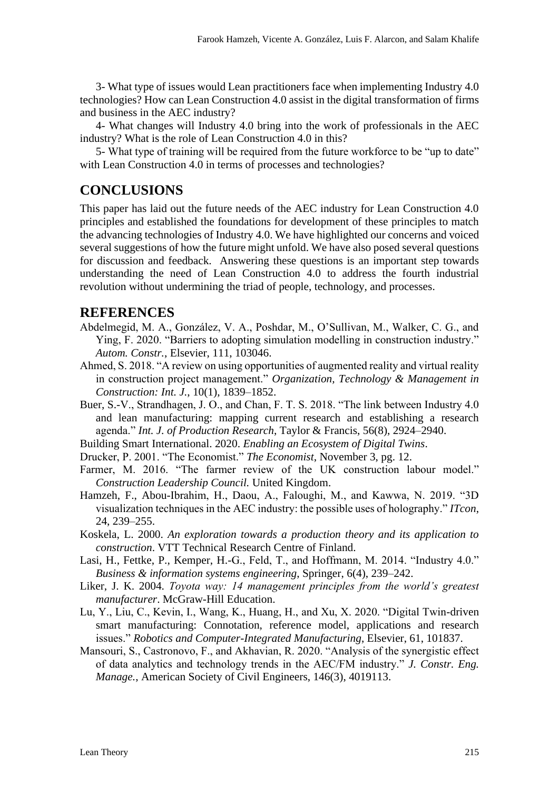3- What type of issues would Lean practitioners face when implementing Industry 4.0 technologies? How can Lean Construction 4.0 assist in the digital transformation of firms and business in the AEC industry?

4- What changes will Industry 4.0 bring into the work of professionals in the AEC industry? What is the role of Lean Construction 4.0 in this?

5- What type of training will be required from the future workforce to be "up to date" with Lean Construction 4.0 in terms of processes and technologies?

#### **CONCLUSIONS**

This paper has laid out the future needs of the AEC industry for Lean Construction 4.0 principles and established the foundations for development of these principles to match the advancing technologies of Industry 4.0. We have highlighted our concerns and voiced several suggestions of how the future might unfold. We have also posed several questions for discussion and feedback. Answering these questions is an important step towards understanding the need of Lean Construction 4.0 to address the fourth industrial revolution without undermining the triad of people, technology, and processes.

#### **REFERENCES**

- Abdelmegid, M. A., González, V. A., Poshdar, M., O'Sullivan, M., Walker, C. G., and Ying, F. 2020. "Barriers to adopting simulation modelling in construction industry." *Autom. Constr.*, Elsevier, 111, 103046.
- Ahmed, S. 2018. "A review on using opportunities of augmented reality and virtual reality in construction project management." *Organization, Technology & Management in Construction: Int. J.*, 10(1), 1839–1852.
- Buer, S.-V., Strandhagen, J. O., and Chan, F. T. S. 2018. "The link between Industry 4.0 and lean manufacturing: mapping current research and establishing a research agenda." *Int. J. of Production Research*, Taylor & Francis, 56(8), 2924–2940.
- Building Smart International. 2020. *Enabling an Ecosystem of Digital Twins*.
- Drucker, P. 2001. "The Economist." *The Economist*, November 3, pg. 12.
- Farmer, M. 2016. "The farmer review of the UK construction labour model." *Construction Leadership Council.* United Kingdom.
- Hamzeh, F., Abou-Ibrahim, H., Daou, A., Faloughi, M., and Kawwa, N. 2019. "3D visualization techniques in the AEC industry: the possible uses of holography." *ITcon*, 24, 239–255.
- Koskela, L. 2000. *An exploration towards a production theory and its application to construction*. VTT Technical Research Centre of Finland.
- Lasi, H., Fettke, P., Kemper, H.-G., Feld, T., and Hoffmann, M. 2014. "Industry 4.0." *Business & information systems engineering*, Springer, 6(4), 239–242.
- Liker, J. K. 2004. *Toyota way: 14 management principles from the world's greatest manufacturer*. McGraw-Hill Education.
- Lu, Y., Liu, C., Kevin, I., Wang, K., Huang, H., and Xu, X. 2020. "Digital Twin-driven smart manufacturing: Connotation, reference model, applications and research issues." *Robotics and Computer-Integrated Manufacturing*, Elsevier, 61, 101837.
- Mansouri, S., Castronovo, F., and Akhavian, R. 2020. "Analysis of the synergistic effect of data analytics and technology trends in the AEC/FM industry." *J. Constr. Eng. Manage.*, American Society of Civil Engineers, 146(3), 4019113.